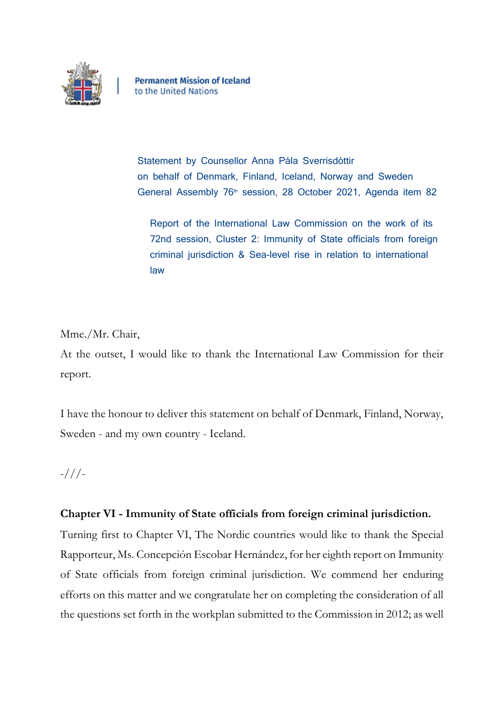

**Permanent Mission of Iceland** to the United Nations

Statement by Counsellor Anna Pála Sverrisdóttir on behalf of Denmark, Finland, Iceland, Norway and Sweden General Assembly 76<sup>th</sup> session, 28 October 2021, Agenda item 82

Report of the International Law Commission on the work of its 72nd session, Cluster 2: Immunity of State officials from foreign criminal jurisdiction & Sea-level rise in relation to international law

Mme./Mr. Chair,

At the outset, I would like to thank the International Law Commission for their report.

I have the honour to deliver this statement on behalf of Denmark, Finland, Norway, Sweden - and my own country - Iceland.

-///-

## **Chapter VI - Immunity of State officials from foreign criminal jurisdiction.**

Turning first to Chapter VI, The Nordic countries would like to thank the Special Rapporteur, Ms. Concepción Escobar Hernández, for her eighth report on Immunity of State officials from foreign criminal jurisdiction. We commend her enduring efforts on this matter and we congratulate her on completing the consideration of all the questions set forth in the workplan submitted to the Commission in 2012; as well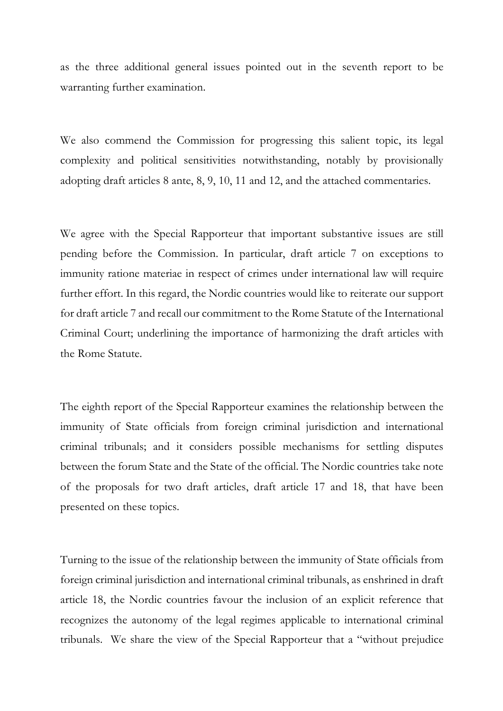as the three additional general issues pointed out in the seventh report to be warranting further examination.

We also commend the Commission for progressing this salient topic, its legal complexity and political sensitivities notwithstanding, notably by provisionally adopting draft articles 8 ante, 8, 9, 10, 11 and 12, and the attached commentaries.

We agree with the Special Rapporteur that important substantive issues are still pending before the Commission. In particular, draft article 7 on exceptions to immunity ratione materiae in respect of crimes under international law will require further effort. In this regard, the Nordic countries would like to reiterate our support for draft article 7 and recall our commitment to the Rome Statute of the International Criminal Court; underlining the importance of harmonizing the draft articles with the Rome Statute.

The eighth report of the Special Rapporteur examines the relationship between the immunity of State officials from foreign criminal jurisdiction and international criminal tribunals; and it considers possible mechanisms for settling disputes between the forum State and the State of the official. The Nordic countries take note of the proposals for two draft articles, draft article 17 and 18, that have been presented on these topics.

Turning to the issue of the relationship between the immunity of State officials from foreign criminal jurisdiction and international criminal tribunals, as enshrined in draft article 18, the Nordic countries favour the inclusion of an explicit reference that recognizes the autonomy of the legal regimes applicable to international criminal tribunals. We share the view of the Special Rapporteur that a "without prejudice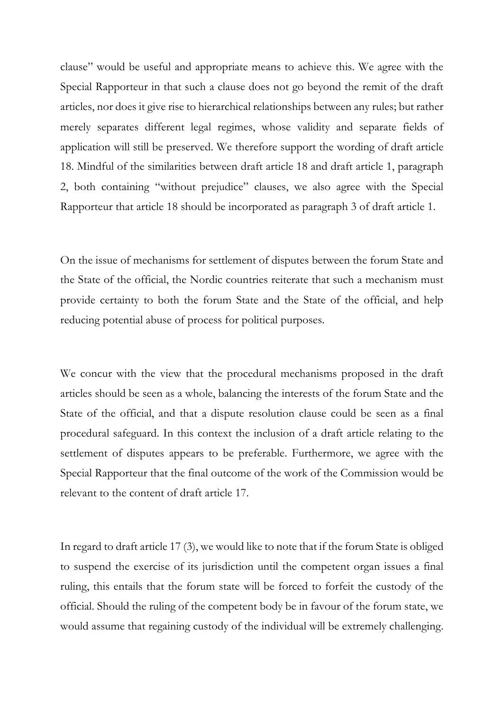clause" would be useful and appropriate means to achieve this. We agree with the Special Rapporteur in that such a clause does not go beyond the remit of the draft articles, nor does it give rise to hierarchical relationships between any rules; but rather merely separates different legal regimes, whose validity and separate fields of application will still be preserved. We therefore support the wording of draft article 18. Mindful of the similarities between draft article 18 and draft article 1, paragraph 2, both containing "without prejudice" clauses, we also agree with the Special Rapporteur that article 18 should be incorporated as paragraph 3 of draft article 1.

On the issue of mechanisms for settlement of disputes between the forum State and the State of the official, the Nordic countries reiterate that such a mechanism must provide certainty to both the forum State and the State of the official, and help reducing potential abuse of process for political purposes.

We concur with the view that the procedural mechanisms proposed in the draft articles should be seen as a whole, balancing the interests of the forum State and the State of the official, and that a dispute resolution clause could be seen as a final procedural safeguard. In this context the inclusion of a draft article relating to the settlement of disputes appears to be preferable. Furthermore, we agree with the Special Rapporteur that the final outcome of the work of the Commission would be relevant to the content of draft article 17.

In regard to draft article 17 (3), we would like to note that if the forum State is obliged to suspend the exercise of its jurisdiction until the competent organ issues a final ruling, this entails that the forum state will be forced to forfeit the custody of the official. Should the ruling of the competent body be in favour of the forum state, we would assume that regaining custody of the individual will be extremely challenging.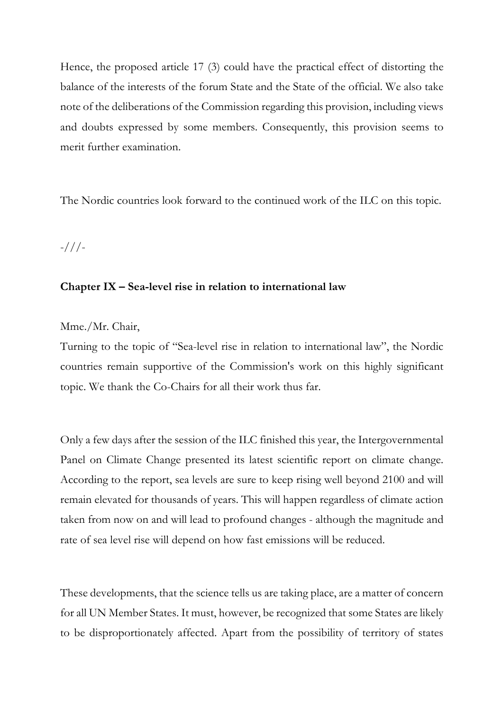Hence, the proposed article 17 (3) could have the practical effect of distorting the balance of the interests of the forum State and the State of the official. We also take note of the deliberations of the Commission regarding this provision, including views and doubts expressed by some members. Consequently, this provision seems to merit further examination.

The Nordic countries look forward to the continued work of the ILC on this topic.

-///-

## **Chapter IX – Sea-level rise in relation to international law**

Mme./Mr. Chair,

Turning to the topic of "Sea-level rise in relation to international law", the Nordic countries remain supportive of the Commission's work on this highly significant topic. We thank the Co-Chairs for all their work thus far.

Only a few days after the session of the ILC finished this year, the Intergovernmental Panel on Climate Change presented its latest scientific report on climate change. According to the report, sea levels are sure to keep rising well beyond 2100 and will remain elevated for thousands of years. This will happen regardless of climate action taken from now on and will lead to profound changes - although the magnitude and rate of sea level rise will depend on how fast emissions will be reduced.

These developments, that the science tells us are taking place, are a matter of concern for all UN Member States. It must, however, be recognized that some States are likely to be disproportionately affected. Apart from the possibility of territory of states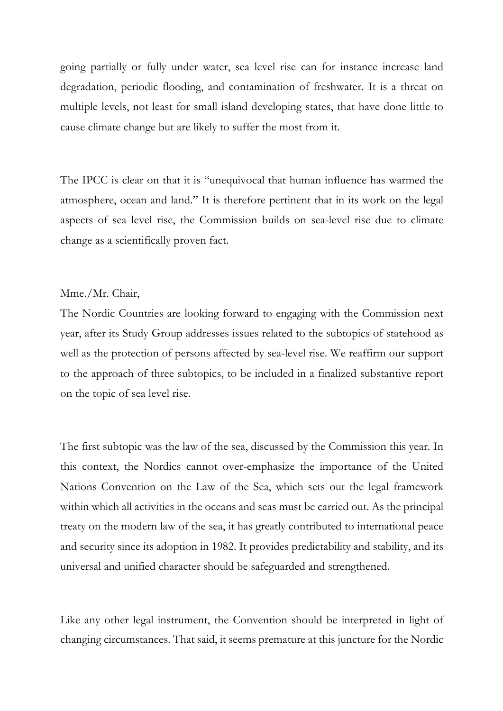going partially or fully under water, sea level rise can for instance increase land degradation, periodic flooding, and contamination of freshwater. It is a threat on multiple levels, not least for small island developing states, that have done little to cause climate change but are likely to suffer the most from it.

The IPCC is clear on that it is "unequivocal that human influence has warmed the atmosphere, ocean and land." It is therefore pertinent that in its work on the legal aspects of sea level rise, the Commission builds on sea-level rise due to climate change as a scientifically proven fact.

## Mme./Mr. Chair,

The Nordic Countries are looking forward to engaging with the Commission next year, after its Study Group addresses issues related to the subtopics of statehood as well as the protection of persons affected by sea-level rise. We reaffirm our support to the approach of three subtopics, to be included in a finalized substantive report on the topic of sea level rise.

The first subtopic was the law of the sea, discussed by the Commission this year. In this context, the Nordics cannot over-emphasize the importance of the United Nations Convention on the Law of the Sea, which sets out the legal framework within which all activities in the oceans and seas must be carried out. As the principal treaty on the modern law of the sea, it has greatly contributed to international peace and security since its adoption in 1982. It provides predictability and stability, and its universal and unified character should be safeguarded and strengthened.

Like any other legal instrument, the Convention should be interpreted in light of changing circumstances. That said, it seems premature at this juncture for the Nordic